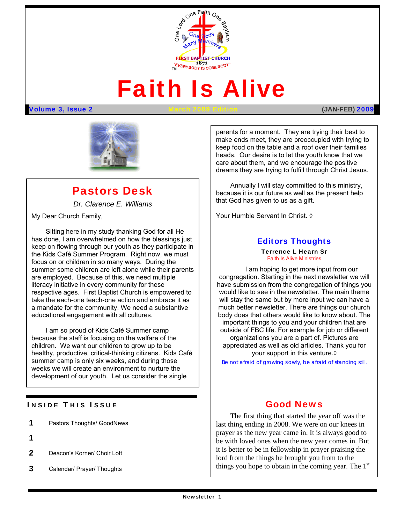

# Faith Is Alive

#### Volume 3, Issue 2 March 2009 Edition **(JAN-FEB)** 2009



# Pastors Desk

*Dr. Clarence E. Williams* 

My Dear Church Family,

 the Kids Café Summer Program. Right now, we must Sitting here in my study thanking God for all He has done, I am overwhelmed on how the blessings just keep on flowing through our youth as they participate in focus on or children in so many ways. During the summer some children are left alone while their parents are employed. Because of this, we need multiple literacy initiative in every community for these respective ages. First Baptist Church is empowered to take the each-one teach-one action and embrace it as a mandate for the community. We need a substantive educational engagement with all cultures.

I am so proud of Kids Café Summer camp because the staff is focusing on the welfare of the children. We want our children to grow up to be healthy, productive, critical-thinking citizens. Kids Café summer camp is only six weeks, and during those weeks we will create an environment to nurture the development of our youth. Let us consider the single

## **INSIDE THIS ISSUE**

- 1 Pastors Thoughts/ GoodNews
- 1
- 2 Deacon's Korner/ Choir Loft
- 3 Calendar/ Prayer/ Thoughts

parents for a moment. They are trying their best to make ends meet, they are preoccupied with trying to keep food on the table and a roof over their families heads. Our desire is to let the youth know that we care about them, and we encourage the positive dreams they are trying to fulfill through Christ Jesus.

Annually I will stay committed to this ministry, because it is our future as well as the present help that God has given to us as a gift.

Your Humble Servant In Christ. ◊

## Editors Thoughts

Terrence L Hearn Sr Faith Is Alive Ministries

I am hoping to get more input from our congregation. Starting in the next newsletter we will have submission from the congregation of things you would like to see in the newsletter. The main theme will stay the same but by more input we can have a much better newsletter. There are things our church body does that others would like to know about. The important things to you and your children that are outside of FBC life. For example for job or different organizations you are a part of. Pictures are appreciated as well as old articles. Thank you for your support in this venture.◊

*Be not afraid of growing slowly, be afraid of standing still.*

## Good News

 prayer as the new year came in. It is always good to The first thing that started the year off was the last thing ending in 2008. We were on our knees in be with loved ones when the new year comes in. But it is better to be in fellowship in prayer praising the lord from the things he brought you from to the things you hope to obtain in the coming year. The  $1<sup>st</sup>$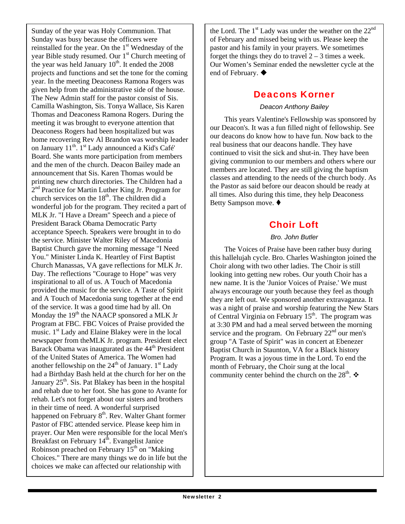Sunday of the year was Holy Communion. That Sunday was busy because the officers were reinstalled for the year. On the  $1<sup>st</sup>$  Wednesday of the year Bible study resumed. Our 1<sup>st</sup> Church meeting of the year was held January  $10<sup>th</sup>$ . It ended the 2008 projects and functions and set the tone for the coming year. In the meeting Deaconess Ramona Rogers was given help from the administrative side of the house. The New Admin staff for the pastor consist of Sis. Camilla Washington, Sis. Tonya Wallace, Sis Karen Thomas and Deaconess Ramona Rogers. During the meeting it was brought to everyone attention that Deaconess Rogers had been hospitalized but was home recovering Rev Al Brandon was worship leader on January  $11^{th}$ .  $1^{st}$  Lady announced a Kid's Café' Board. She wants more participation from members and the men of the church. Deacon Bailey made an announcement that Sis. Karen Thomas would be printing new church directories. The Children had a 2<sup>nd</sup> Practice for Martin Luther King Jr. Program for church services on the  $18<sup>th</sup>$ . The children did a wonderful job for the program. They recited a part of MLK Jr. "I Have a Dream" Speech and a piece of President Barack Obama Democratic Party acceptance Speech. Speakers were brought in to do the service. Minister Walter Riley of Macedonia Baptist Church gave the morning message "I Need You." Minister Linda K. Heartley of First Baptist Church Manassas, VA gave reflections for MLK Jr. Day. The reflections "Courage to Hope" was very inspirational to all of us. A Touch of Macedonia provided the music for the service. A Taste of Spirit and A Touch of Macedonia sung together at the end of the service. It was a good time had by all. On Monday the  $19<sup>th</sup>$  the NAACP sponsored a MLK Jr Program at FBC. FBC Voices of Praise provided the music. 1st Lady and Elaine Blakey were in the local newspaper from theMLK Jr. program. President elect Barack Obama was inaugurated as the 44<sup>th</sup> President of the United States of America. The Women had another fellowship on the  $24<sup>th</sup>$  of January. 1<sup>st</sup> Lady had a Birthday Bash held at the church for her on the January  $25<sup>th</sup>$ . Sis. Pat Blakey has been in the hospital and rehab due to her foot. She has gone to Avante for rehab. Let's not forget about our sisters and brothers in their time of need. A wonderful surprised happened on February  $8<sup>th</sup>$ . Rev. Walter Ghant former Pastor of FBC attended service. Please keep him in prayer. Our Men were responsible for the local Men's Breakfast on February 14<sup>th</sup>. Evangelist Janice Robinson preached on February  $15<sup>th</sup>$  on "Making" Choices." There are many things we do in life but the choices we make can affected our relationship with

the Lord. The  $1<sup>st</sup>$  Lady was under the weather on the  $22<sup>nd</sup>$ of February and missed being with us. Please keep the pastor and his family in your prayers. We sometimes forget the things they do to travel  $2 - 3$  times a week. Our Women's Seminar ended the newsletter cycle at the end of February. ♦

## Deacons Korner

#### *Deacon Anthony Bailey*

This years Valentine's Fellowship was sponsored by our Deacon's. It was a fun filled night of fellowship. See our deacons do know how to have fun. Now back to the real business that our deacons handle. They have continued to visit the sick and shut-in. They have been giving communion to our members and others where our members are located. They are still giving the baptism classes and attending to the needs of the church body. As the Pastor as said before our deacon should be ready at all times. Also during this time, they help Deaconess Betty Sampson move. ♦

# Choir Loft

## *Bro. John Butler*

The Voices of Praise have been rather busy during this hallelujah cycle. Bro. Charles Washington joined the Choir along with two other ladies. The Choir is still looking into getting new robes. Our youth Choir has a new name. It is the 'Junior Voices of Praise.' We must always encourage our youth because they feel as though they are left out. We sponsored another extravaganza. It was a night of praise and worship featuring the New Stars of Central Virginia on February  $15<sup>th</sup>$ . The program was at 3:30 PM and had a meal served between the morning service and the program. On February  $22<sup>nd</sup>$  our men's group "A Taste of Spirit" was in concert at Ebenezer Baptist Church in Staunton, VA for a Black history Program. It was a joyous time in the Lord. To end the month of February, the Choir sung at the local community center behind the church on the 28<sup>th</sup>.  $\mathbf{\hat{P}}$